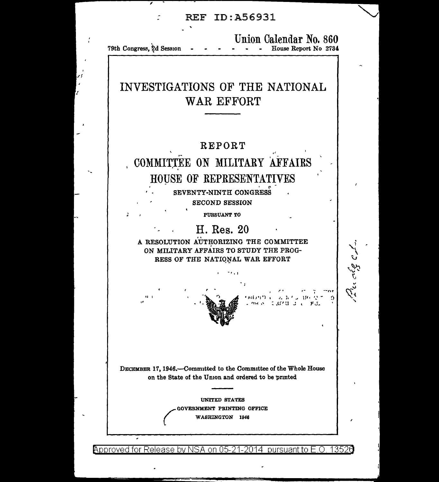Union Calendar No. 860 79th Congress, 2d Session - - - House Report No 2734

# INVESTIGATIONS OF THE NATIONAL WAR EFFORT

# **REPORT** COMMITTEE ON MILITARY AFFAIRS HOUSE OF REPRESENTATIVES

SEVENTY-NINTH CONGRESS

**SECOND SESSION** 

PURSUANT TO

# H. Res. 20

A RESOLUTION AUTHORIZING THE COMMITTEE ON MILITARY AFFAIRS TO STUDY THE PROG-RESS OF THE NATIONAL WAR EFFORT

رميع دور ريددهج درسومة

DECEMBER 17, 1946.—Committed to the Committee of the Whole House on the State of the Union and ordered to be printed

> **UNITED STATES** GOVERNMENT PRINTING OFFICE WASHINGTON 1946

Approved for Release by NSA on 05-21-2014 pursuant to E.O. 13526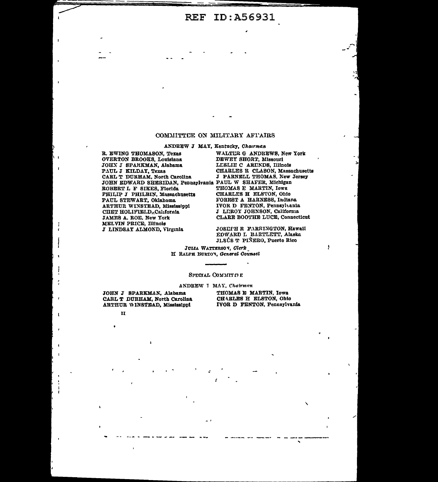#### COMMITTEE ON MILITARY AFI'AIRS

ANDREW J MAY, Kentucky, Chairman

R. EWING THOMASON, Texas OVERTON BROOKS, Louislana JOHN J SPARKMAN, Alabama PAUL J KILDAY, Texas CARL T DURHAM, North Carolina JOHN EDWARD SHERIDAN, Pennsylvania PAUL W SHAFER, Michigan ROBERT L F SIKES, Florida PHILIP J PHILBIN, Massachusetts PAUL STEWART, Oklahoma ARTHUR WINSTEAD, Mississippi CHET HOLIFIELD, California JAMES A. ROE, New York MELVIN PRICE, Illinois J LINDSAY ALMOND, Virginia

WALTUR G ANDREWS, New York **DEWEY SHORT, Missouri** LESLIE C ARENDS, Illinois CHARLES R CLASON, Massachusetts J PARNELL THOMAS, New Jersey THOMAS E MARTIN, Iowa CHARLES H ELSTON, Ohio **FOREST A HARNESS, Indiana** IVOR D FENTON, Pennsylvania J LEROY JOHNSON, California CLARE BOOTHE LUCE, Connecticut

JOSEFH R FARRINGTON, Hawaii EDWARD L BARTLETT, Alaska JLSÚS T PIÑERO, Puerto Rico

JULIA WATTERSON, Clerk H RALPH BURTON, General Counsel

#### SPECIAL COMMITTIE

#### ANDREW I MAY, Chairman

JOHN J SPARKMAN, Alabama CARL T DURHAM, North Carolina ARTHUR WINSTEAD, Mississippi

 $\mathbf{H}$ 

THOMAS E MARTIN, Iowa CHARLES H ELSTON, Ohio IVOR D FENTON, Pennsylvania

 $\cdot$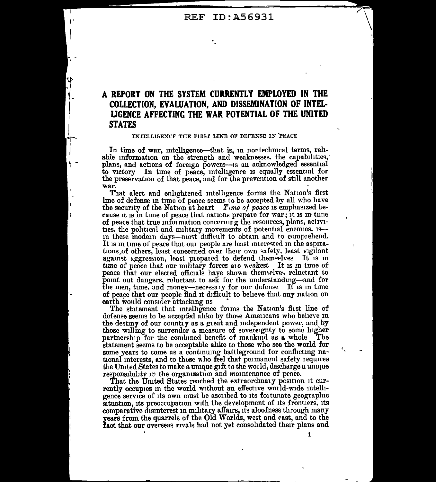### A REPORT ON THE SYSTEM CURRENTLY EMPLOYED IN THE COLLECTION. EVALUATION. AND DISSEMINATION OF INTEL-LIGENCE AFFECTING THE WAR POTENTIAL OF THE UNITED **STATES**

#### IN IELLIGENCF THE FIRST LINE OF DETENSE IN PEACE

In time of war, intelligence—that is, in nontechnical terms, reliable information on the strength and weaknesses, the capabilities, plans, and actions of foreign powers-is an acknowledged essential to victory In time of peace, intelligence is equally essential for the preservation of that peace, and for the prevention of still another war.

That alert and enlightened intelligence forms the Nation's first line of defense in time of peace seems to be accepted by all who have the security of the Nation at heart Time of peace is emphasized because it is in time of peace that nations prepare for war; it is in time of peace that true information concerning the resources, plans, activities, the political and military movements of potential enemies. 15 in these modern days—most difficult to obtain and to comprehend. It is in time of peace that our people are least interested in the aspirations of others, least concerned over their own safety, least vigilant against aggression, least piepared to defend themselves It is in time of peace that our military forces are weakest It is in time of peace that our elected officials have shown themselves reluctant to point out dangers, reluctant to ask for the understanding-and for the men, time, and money—necessary for our defense It is in time of peace that our people find it difficult to believe that any nation on earth would consider attacking us

The statement that intelligence forms the Nation's first line of defense seems to be accepted alike by those Americans who believe in the destiny of our country as a great and independent power, and by those willing to surrender a measure of sovereignty to some higher partnership for the combined benefit of mankind as a whole The statement seems to be acceptable alike to those who see the world for some years to come as a continuing battleground for conflicting national interests, and to those who feel that permanent safety requires the United States to make a unique gift to the world, discharge a unique responsibility in the organization and maintenance of peace.

That the United States reached the extraordinary position it currently occupies in the world without an effective world-wide intelligence service of its own must be ascribed to its fortunate geographic situation, its preoccupation with the development of its frontiers, its comparative disinterest in military affairs, its aloofness through many years from the quarrels of the Old Worlds, west and east, and to the fact that our overseas rivals had not yet consolidated their plans and

1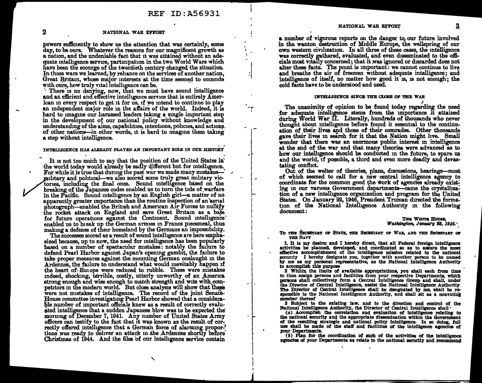I •

 $\frac{1}{1}$ 

-,. I

 $\vert$ 

#### 2 NATIONAL WAR EFFORT

powers sufficiently to show us the attention that was certainly, some day, to be ours. Whatever the reasons for our magnificent growth as a nation, and the undeniable fact that it was attained without an adequate intelligence service, participation in the two World Wars which have been the scourge of the twentieth century changed the situation. In those wars we learned, by reliance on the services of another nation, Great Britain, whose major interests at the time seemed to coincide with ours, how truly vital intelligence can be.

There is no denying, now, that we must have sound intelligence and an efficient and effective intelligence service that is entirely American in every respect to get it for us, if we intend to continue to play an independent major role in the affairs of the world. Indeed, it is hard to imagine our harassed leaders taking a single important step in the development of our national policy without knowledge and understanding of the aims, capabilities, intentions, policies, and actions. of other nations-in other words, it is hard to imagine them taking a step without intelligence.

# . ' INTELLIGENCE HAS A.I.BEADY PLATED AN DIPORTAN'J.' ROLE IN OUR HISTORY

It is not too much to say that the position of the United States in' the world today would already be sadly different but for intelligence. For while it is true that during the past war we made many mistakesmilitary and political—we also scored some truly great military victories, including the final ones. Sound intelligence based on the breaking of the Japanese codes enabled us to turn the tide of warfare in the Pacific. Sound intelligence by an English girl-a matter of no apparently greater importance than the routine inspection of an aerial photograph-enabled the British and American Air Forces to nullify the rocket attack on England and save Great Britain as a base for future operations against the Continent. Sound intelligence' enabled us to break up the German armies in France piecemeal, thus making a defense of their homeland by the Germans an impossibility.

The successes scored as a result of sound intelligence are here emphasized because, up to now, the need for intelligence has been popularly based on a number of spectacular mistakes: notably the failure to defend Pearl Harbor against Japan's opening gambit, the failure to take proper measures against the mountmg German onslaught m the Ardennes, the failure to understand what would mevitably happen if the heart of-Eu1ope were reduced to rubble. These were mistakes mdeed, shocking, terrible, costly, utterly unworthy of an America strong enough and wise enough to match strength and wite with competitors in the modern world. But close analysis will show that these were not mistakes of intelligence. The record of the joint Senate-House committee investigating Pearl Harbor showed that a considerable number of unportant officials knew as a result of correctly evaluated intelligence that a sudden Japanese blow was to be expected the morning of December 7, 1941. Any number of United States Army officers can testify to the fact that it was known as the result of correctly offered intelligence that a German force of alarming proportions was ready to deliver an attack in the Ardennes shortly before Christmas of 1944. And the files of our intelligence service contain

a number of vigorous reports on the danger to, our future involved in the. wanton destruction of Middle Europe, the wellspring of our own western civ1hzation. In all three of these cases, the mtelligence was correctly gathered, evaluated, and even disseminated to the officials most vitally concerned; that it was ignored or discarded does not alter these facts. The point is important: we cannot continue to live and breathe the air of freemen without adequate intelligence; and intelligence of itself, no matter how good it is, is not enough; the cold facts have to be understood and used.

#### INTELLIGENCE SINCE THE CLOSE OF THE WAR

The unanimity of opinion to be found today regarding the need for adequate intelligence stems from the importance it attained during World War II. Literally, hundreds of thousands who never thought about intelligence before found it essential to the continuation of their lives and those of their comrades. Other thousands gave their lives m search for it that the Nation might hve. Small wonder that there was an enormous public interest in intelligence at the end of the war and that many theories were advanced as to how our intelligence should be conducted in the future, to spare us and the world, if possible, a third and even more deadly and devastating conflict.

Out of the welter of theories, plans, discussions, hearings-most of which seemed to call for a new central intelligence agency to coordinate for the common good the work of agencies already existing in our various Government departments-came the crystallization of a new intelligence organization and program for the United States. On January 22, 1946, President Truman directed the formation of the National Intelligence Authority in the following document:

#### THE WHITE HOUSE, *lVaaMngtcm, JtmMG'1J* !8, *1846.* -

To THE SECRETARY OF STATE, THE SECRETARY OF WAB, AND THE SECRETARY OF

THE NAVY<br>1. It is my desire; and I hereby direct, that all Federal foreign intelligence 1. It is my desire; and I hereby direct, that all Federal foreign intelligence activities be planned, developed, and coordinated so as to assure the most effective accomplishment of the intelligence mission related to the national security I hereby designate you, together with another person to be named by me as my personal representative, as the National Intelligence Authority to accomplish this purpose

2 Within the limits of available appropriations, you shall each from time to time assign persons and facilities from your respective Departments, which persons shall collectively form a Central Intelligence Group and shall, under the Director of Central Intelligence, assist the National Intelligence Authority The Director of Central Intelligence shall be designated by me, shall be responsible to the National Intelligence Authority, and shall sit as a nonvoting member thereof

3 Subject to the existing law, and to the dlrectlon and control of the National Intelllgence Authority, the Director of Central Intelligence shall·

(a) Accomplish the correlation and evaluation of Intelligence relating to the national security and the appropriate dissemination within the Government of the resulting strategic and national policy Intelligence. In so doing, full use shall be made of the staff and facilities of the intelligence agencies of

1011 Plan for the coordination of such of the activities of the intelligence agencies of your Departments as relate to the national security and recommend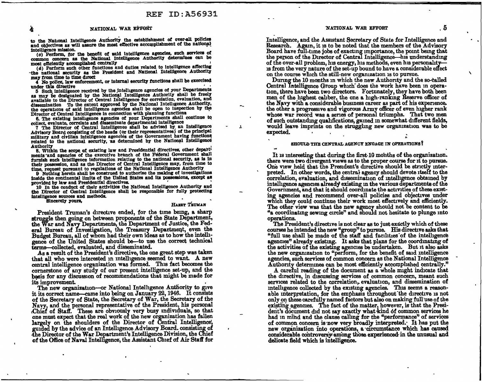#### NATIONAL WAR EFFORT

to the National Intelligence Authority the establishment of over-all policies and objectives as will assure the most effective accomplishment of the national intelligence mission.

(c) Perform, for the benefit of said intelligence agencies, such services of common concern as the National Intelligence Authority determines can be most efficiently accomplished centrally

(d) Perform such other functions and duties related to intelligence affecting the national security as the President and National Intelligence Authority may from time to time direct

4 No police, law enforcement, or internal security functions shall be exercised under this directive

5 Such intelligence received by the intelligence agencies of your Departments as may be designated by the National Intelligence Authority shall be freely available to the Director of Central Intelligence for correlation, evaluation, and dissemination To the extent approved by the National Intelligence Authority, the operations of said intelligence agencies shall be open to inspection by the Director of Central Intelligence in connection with planning functions

6. The existing intelligence agencies of your Departments shall continue to collect, evaluate, correlate and disseminate departmental intelligence

7 The Director of Central Intelligence shall be advised by an Intelligence Advisory Board consisting of the heads (or their representatives) of the principal military and civilian intelligence agencies of the Government having functions related to the national security, as determined by the National Intelligence **Authority** 

8. Within the scope of existing law and Presidential directives, other departments and agencies of the executive branch of the Federal Government shall furnish such intelligence information relating to the national security, as is in their possession, and as the Director of Central Intelligence may, from time to time, request pursuant to regulations of the National Intelligence Authority

9 Nothing herein shall be construed to authorize the making of investigations inside the continental limits of the United States and its possessions, except as provided by law and Presidential directives.

10 In the conduct of their activities the National Intelligence Authority and the Director of Central Intelligence shall be responsible for fully protecting intelligence sources and methods. Sincerely yours.

HARRY TRUMAN

 $\overline{\phantom{a}}$ 

President Truman's directive ended, for the time being, a sharp struggle then going on between proponents of the State Department, the War and Navy Departments, the Department of Justice, the Federal Bureau of Investigation, the Treasury Department, even the Budget Bureau, all of whom had their own ideas as to how the intelligence of the United States should be-to use the correct technical terms-collected, evaluated, and disseminated.

As a result of the President's directive, the one great step was taken that all who were interested in intelligence seemed to want. A new central intelligence organization was formed. This fact becomes the cornerstone of any study of our present intelligence set-up, and the basis for any discussion of recommendations that might be made for its improvement.

The new organization-or National Intelligence Authority to give it its correct name—came into being on January 22, 1946. It consists of the Secretary of State, the Secretary of War, the Secretary of the Navy, and the personal representative of the President. his personal Chief of Staff. These are obviously very busy individuals, so that one must expect that the real work of the new organization has fallen largely on the shoulders of the Director of Central Intelligence, guided by the advice of an Intelligence Advisory Board. consisting of the Director of the War Department's Intelligence Division, the Chief of the Office of Naval Intelligence, the Assistant Chief of Air Staff for

#### NATIONAL WAR EFFORT

Intelligence, and the Assistant Secretary of State for Intelligence and Research. Again, it is to be noted that the members of the Advisory Board have full-time jobs of exacting importance, the point being that the person of the Director of Central Intelligence—his understanding of the over-all problem, his energy, his methods, even his personalityis from the very nature of the set-up bound to have a considerable effect on the course which the still-new organization is to pursue.

During the 10 months in which the new Authority and the so-called Central Intelligence Group which does the work have been in operation, there have been two directors. Fortunately, they have both been men of the highest caliber, the one a high-ranking Reserve officer of the Navy with a considerable business career as part of his experience. the other a progressive and vigorous Army officer of even higher rank whose war record was a series of personal triumphs. That two men of such outstanding qualifications, gained in somewhat different fields, would leave imprints on the struggling new organization was to be expected.

#### **SHOULD THE CENTRAL AGENCY ENGAGE IN OPERATIONS?**

It is interesting that during the first 10 months of the organization. there were two divergent views as to the proper course for it to pursue. One view held that the President's directive should be strictly interpreted. In other words, the central agency should devote itself to the correlation, evaluation, and dissemination of intelligence obtained by intelligence agencies already existing in the various departments of the Government, and that it should coordinate the activities of these existing agencies and recommend over-all policies and objectives under which they could continue their work most effectively and efficiently. The other view was that the new agency should not be content to be "a coordinating sewing circle" and should not hesitate to plunge into operations.

The President's directive is not clear as to just exactly which of these courses he intended the new "group" to pursue. His directive asks that "full use shall be made of the staff and facilities of the intelligence agencies" already existing. It asks that plans for the coordinating of the activities of the existing agencies be undertaken. But it also asks the new organization to "perform, for the benefit of said intelligence agencies, such services of common concern as the National Intelligence Authority determines can be most efficiently accomplished centrally."

A careful reading of the document as a whole might indicate that the directive, in discussing services of common concern, meant such services related to the correlation, evaluation, and dissemination of intelligence collected by the existing agencies. This seems a reasonable interpretation, for the emphasis throughout the directive is not only on these carefully named factors but also on making full use of the existing agencies. The fact of the matter, however, is that the President's document did not say exactly what kind of common services he had in mind and the clause calling for the "performance" of services of common concern is now very broadly interpreted. It has put the new organization into operations, a circumstance which has caused considerable controversy among those experienced in the unusual and delicate field which is intelligence.

-5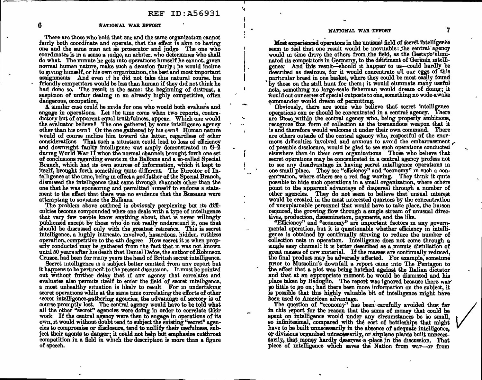, ...

#### 6 NATIONAL WAR EFFORT

There are those who hold that one and the same organization cannot fairly both coordinate and operate, that the effect is akm to having one and the same man act as prosecutor and judge The one who coordinates is in a sense a judge, an arbiter, who determines who shall do what. The minute he gets into operations himself he cannot, given normal human nature, make such a decision fairly; he would incline to giving himself, or his own organization, the best and most important assignments And even if he did not take this natural course, his friendlv competitors would be less than human if they did not think he had done so. The result is the same: the beginning of distrust, a suspicion of unfair dealing in an already highly competitive, often dangerous, occupation.

A similar case could be made for one who would both evaluate and engage in operations. Let the time come when two reports, contradictory but of apparent equal truthfulness, appear. Which one would the evaluator believe? The one gathered by some intelligence agency other than his own? Or the one gathered by his own? Human nature would of course incline him toward the latter, regardless of other considerations That such a situation could lead to loss of efficiency and downright faulty intelligence was amply demonstrated in  $G-2$ during World War II when the normal channels brought forth one set of conclusions regarding events m the Balkans and a so-called Special Branch, which had its own sources of information, which it kept to itself, brought forth something quite different. The Director of Intelligence at the time, being in effect a godfather of the Special Branch, dismissed the intelligence that came through channels other than the one that he was sponsormg and permitted himself to endorse a statement to the effect that there was no evidence that the Russians were attempting to sovietize the Balkans.

The problem above outlined is obviously perplexing but its difficulties become compounded when one deals with a type of intelligence that very few people know anything about, that is never willingly publicized except by those who do not really understand it, one that should be discussed only with the greatest reticence. This is secret intelligence, a highly intricate, involved, hazardous, hidden, ruthless operation, competitive to the nth degree How secret it is when properly conducted may be gathered from the fact that it was not known until 50 years after his death that Damel Defoe, the author of Robinson Crusoe, had been for many years the head of British secret intelligence.

Secret intelligence is a subject better omitted from any report but it happens to be pertment to the present discussion. It must be pointed out without further delay that if any agency that correlates and evaluates also permits itself to enter the field of secret intelligence, a most unhealthy situation is likely to result For in undertaking secret operations while at the same time correlating the efforts of other vecret intelligence-gathering agencies, the advantage of secrecy is of course promptly lost. The central agency would have to be told what all the other "secret" agencies were doing in order to correlate their work If the central agency were then to engage in operations of its own, it would without doubt tend to subject the existing "secret" agencies to compromise or disclosure, tend to nullify their usefuJness, subject their agents to danger; it could not help but emphasize cutthroat competition in a field in which the description is more than a figure of speech.

### NATIONAL WAR EFFORT 7

Most experienced operators in the unuisual field of secret intelligence seem to teel that one result would be inevitable: the central agency would in time drive the others from the field, as the Gestapo-eliminated its competitors in Germany, to the detriment of German intelligence: And this result—should it happen' to us-could hardly be described as desirous, for it would concentrate all our eggs of this particular breed in one basket, where they could be most easily found by those on the still hunt for them; it would eliminate many useful nets somethmg no large-scale fisherman would dream of doing; it would cut our series of special outposts to one, something no wide-awake commander would dream of permitting.

**Community**, there are some who believe that secret intelligence operations can or should be concentrated in a central agency. There are those within the central agency who, being properly ambitious, recognize this form of collection as the tremendous weapon that it is and therefore would welcome it under their own command. There are others outside of the central agency who, respectful of the enormous difficulties involved and anxious to avoid the embarrassment of possible disclosure, would be glad to see such operations conducted elsewhere than in their own organizations Those who believe that secret operations may be concentrated in a central agency profess not to see any disadvantage in having secret intelligence operations in one small place. They see "efficiency" and "economy" in such a concentration, where others see a red flag waving. They think it quite possible to hide such operations in a small organization, where others point to the apparent advantage of dispersal through a number of other agencies. They do not seem to believe that unsual interest would be created in the most interested quarters by the concentration of unexplainable personnel that would have to take place, the liaison required, the growing flow through a single stream of unusual directives, production, dissemination, payments, and the like.

"Efficiency" and "economy" are important factors in any governmental operation, but it is questionable whether efficiency in intelligence is obtained by continually striving to reduce the number of collection nets in operation. Intelligence does not come through a single easy channel: it is better described as a minute distillation of great masses of raw material. If the masses are continually reduced, the final product may be adversely affected. For example, sometime prior to Mussolini's downfall a report came into The Pentagon to the effect that a plot was being hatched against the Italian dictator and that at an appropriate moment he would be dismissed and his place taken by Badoglio. The report was ignored because there was so little to go on; had there been more information on the subject, it is possible that this highly valuable bit of intelligence might have been used to American advantage.

The question of "economy" has been·carefully avoided thus far in this report for the reason that the sums of money that could be spent on intelligence would under any circumstances be so small, so infinitesimal, compared with the cost of battleships that might have to be built unnecessarily in the absence of adequate intelligence, or divisions organized unnecessarily, or airplane plants built unnecessarily, that money hardly deserves a place in the discussion. That piece of intelligence which saves the Nation from war-or from

 $\lambda$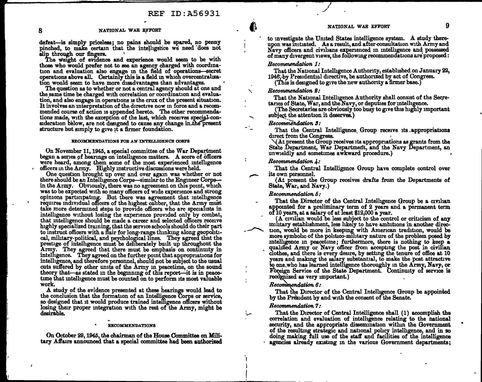defeat-is simply priceless; no pains should be spared, no penny pinched, to make certain that the intelligence we need does not alip through our fingers.

The weight of evidence and experience would seem to be with those who would prefer not to see an agency charged with coordination and evaluation also engage in the field of operations-secret operations above all. Certainly this is a field in which overcentralization would seem to have more disadvantages than advantages.

The question as to whether or not a central agency should at one and the same time be charged with correlation or coordination and evaluation, and also engage in operations is the crux of the present situation. It involves an mterpretation of the directive now m force and a. recommended course of action is appended hereto. The other recommendations made, with the exception of the last, which receives special-consideration below, are not designed to cause any change in the present structure but simply to give it a firmer foundation.

#### BEOOHHENDATIONS FOB AN INTELLIGENCE CORPS

On 'November 11, 1945, a special committee of the War Department began a series of hearings on intelligence matters. A score of officers were heard, among them some of the most experienced intelligence officers in the Army. Highly instructive discussions were held.

One question brought up over and over again was whether or not there should be an Intelligence Corps—similar to the Engineer Corps in the Army. Obviously, there was no agreement on this point, which was to be expected with so many officers of wide experience and strong opinions participating. But there was agreement that intelligence requires individual officers of the highest caliber, that the Army must take more determmed steps to provide officers who are specialists in intelligence without losing the experience provided only by combat, that intelligence should be made a career and selected officers receive highly specialized training, that the service schools should do their part to instruct officers with a flair for long-range thinking along geopolitical, military-political, and psychological lines. They agreed that the prestige of intelligence must be deliberately built up throughout the Army. They agreed that there must be emphasis on continuity in intelligence. They agreed on the further point that appropriations for intelligence, and therefore personnel, should not be subject to the usual cuts suffered by other umts of the Army m peacetime, on the sound theory that-as stated in the beginning of this report-it is in peacetime that mtelhgence must be counted on to perform its most valuable work.

A study of the evidence presented at these hearings would lead to the conclusion that the formation of an Intelligence Corps or service, so designed that it would produce trained intelligence officers without losing their proper integration with the rest of the Army, might be desirable.

#### **BECOMMENDATIONS**

On October 29, 1945, the chairman of the House Committee on Military Affairs announced that a special committee had been authorized to investigate the United States intelligence system. A study thereupon was initiated. As a result, and after consultation with Army and Navy officers and civilians experienced in intelligence and possessed of many divergent views, the followmg recommendations are' proposed:

### Recommendation 1:

That the National Intelligence Authority, established on January 22, 1946, by Presidential directive, be authorized by act of Congress.

(This is designed to give the new authority a firmer base.)

#### Recommendation 2:

That the National Intelligence Authority shall consist of the Secretaries of State, War, and the Navy, or deputies for intelligence.

(The Secretaries are obviously too busy to give this highly important subject the attention it deserves.)

#### Recommendation 3:

That the Central Intelligence. Group receive its .appropriations

 $\sqrt{\text{At present the Group receives its approximations as grants from the}$ State Department, War Department, and the Navy Department, an unwieldly and sometimes awkward procedure.)

#### Recommendation  $\lambda$ :

That the Central Intelligence Group have complete control over its own personnel.

(At present the Group receives drafts from the Departments of State, War, and Navy.)

#### Recommendation 6:

That the Director of the Central Intelligence Group be a civilian appointed for a preliminary term of 2 years and a permanent term  $\overline{0f}$  10 years, at a salary of at least \$12,000 a year.

 $(A$  civilian would be less subject to the control or criticism of any military establishment, less likely to have ambitions in another direction, would be more in keeping with American tradition, would be more symbolic of the politico-military nature of the problem posed by mtelhgence m peacetime; furthermore, there is nothing to keep a qualified Army or Navy officer from accepting the post in civilian clothes, and there is every desire, by setting the tenure of office at 10 years and makmg the salary substantial, to make the post attractive to one, who has learned intelligence thoroughly in the Army, Navy, or Foreign Service of the State Department. Continuity of service is recognized as very important.)

#### $Recommendation 6:$

That the Director of the Central Intelligence Group be appointed by the President by and with the consent of the Senate.

#### Recommendation 7:

.

I I I

I .<br>.<br>.

That the Director of Central Intelligence shall ( 1) accomplish the correlation and evaluation of intelligence relating to the national security, and the appropriate dissemination within the Government of the resulting strategic and national pohcy intelligence; and in so doing making full use of the staff and facilities of the mtelligence agencies already existing in the various Government departments;

•